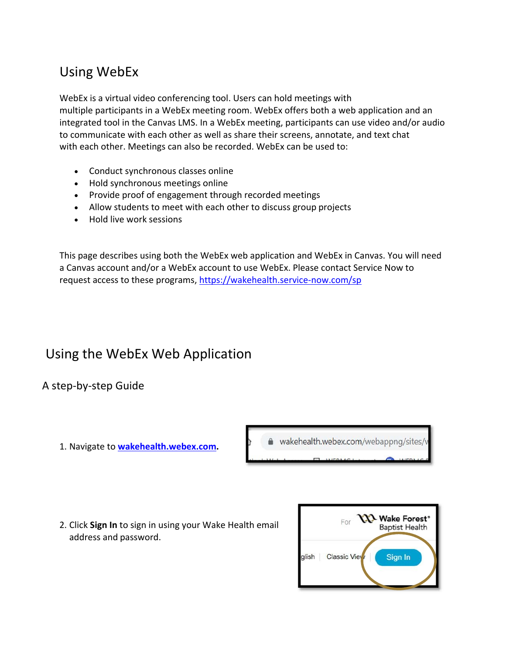### Using WebEx

WebEx is a virtual video conferencing tool. Users can hold meetings with multiple participants in a WebEx meeting room. WebEx offers both a web application and an integrated tool in the Canvas LMS. In a WebEx meeting, participants can use video and/or audio to communicate with each other as well as share their screens, annotate, and text chat with each other. Meetings can also be recorded. WebEx can be used to:

- Conduct synchronous classes online
- Hold synchronous meetings online
- Provide proof of engagement through recorded meetings
- Allow students to meet with each other to discuss group projects
- Hold live work sessions

This page describes using both the WebEx web application and WebEx in Canvas. You will need a Canvas account and/or a WebEx account to use WebEx. Please contact Service Now to request access to these programs, https://wakehealth.service-now.com/sp

### Using the WebEx Web Application

A step-by-step Guide

1. Navigate to **[wakehealth.webex.com.](https://wakehealth.webex.com/)**



2. Click **Sign In** to sign in using your Wake Health email address and password.

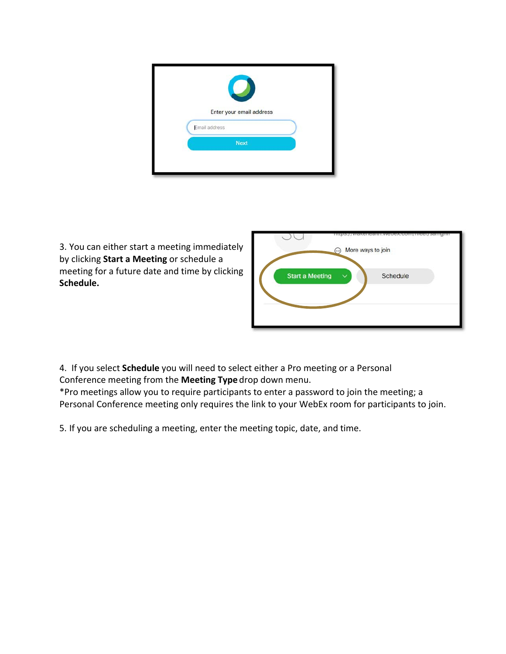| Email address<br><b>Next</b> | Enter your email address |  |
|------------------------------|--------------------------|--|
|                              |                          |  |
|                              |                          |  |
|                              |                          |  |

3. You can either start a meeting immediately by clicking **Start a Meeting** or schedule a meeting for a future date and time by clicking **Schedule.**



4. If you select **Schedule** you will need to select either a Pro meeting or a Personal Conference meeting from the **Meeting Type** drop down menu.

\*Pro meetings allow you to require participants to enter a password to join the meeting; a Personal Conference meeting only requires the link to your WebEx room for participants to join.

5. If you are scheduling a meeting, enter the meeting topic, date, and time.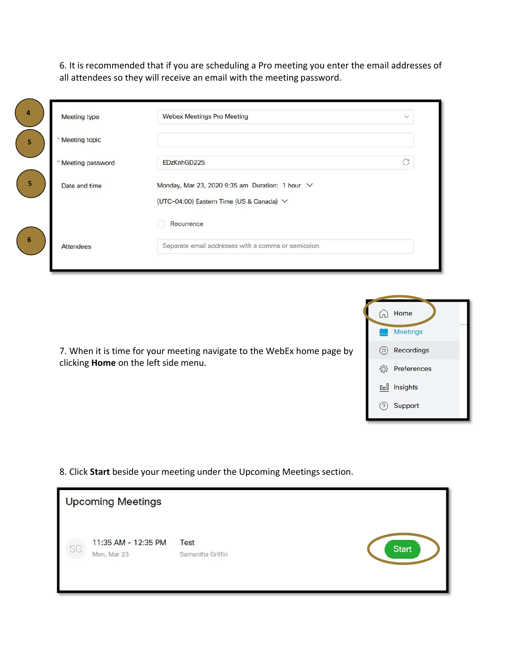6. It is recommended that if you are scheduling a Pro meeting you enter the email addresses of all attendees so they will receive an email with the meeting password.

| Meeting type     | <b>Webex Meetings Pro Meeting</b>                    | $\checkmark$ |
|------------------|------------------------------------------------------|--------------|
| Meeting topic    |                                                      |              |
| Meeting password | EDzKnhGD225                                          | G            |
| Date and time    | Monday, Mar 23, 2020 9:35 am Duration: 1 hour $\vee$ |              |
|                  | (UTC-04:00) Eastern Time (US & Canada) V             |              |
|                  | Recurrence                                           |              |
| <b>Attendees</b> | Separate email addresses with a comma or semicolon   |              |

| $\sqrt{2}$  | Home                |
|-------------|---------------------|
|             | <b>Meetings</b>     |
| $\circ$     | Recordings          |
| <u> {Q}</u> | Preferences         |
|             | <b>Ool</b> Insights |
|             | Support             |

7. When it is time for your meeting navigate to the WebEx home page by clicking **Home** on the left side menu.

8. Click **Start** beside your meeting under the Upcoming Meetings section.

|    | <b>Upcoming Meetings</b>           |                                 |              |
|----|------------------------------------|---------------------------------|--------------|
| SG | 11:35 AM - 12:35 PM<br>Mon, Mar 23 | <b>Test</b><br>Samantha Griffin | <b>Start</b> |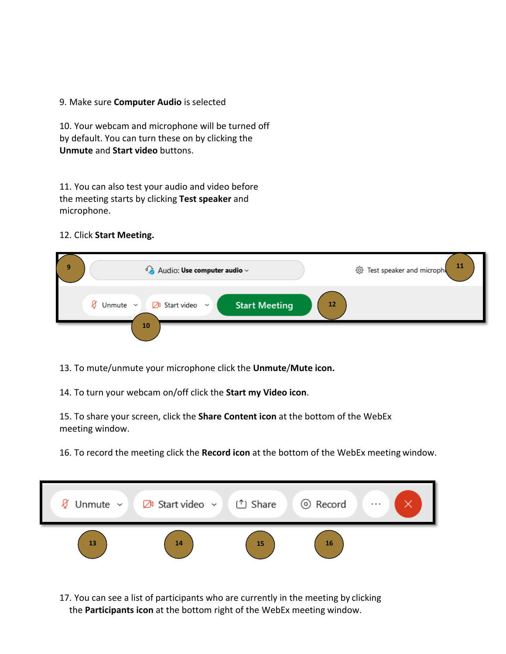#### 9. Make sure **Computer Audio** is selected

10. Your webcam and microphone will be turned off by default. You can turn these on by clicking the **Unmute** and **Start video** buttons.

11. You can also test your audio and video before the meeting starts by clicking **Test speaker** and microphone.

### 12. Click **Start Meeting.**

| И<br>9 | $\bigcirc$ Audio: Use computer audio $\sim$                                                   | -11<br>< Set speaker and microph |
|--------|-----------------------------------------------------------------------------------------------|----------------------------------|
|        | <b>Start Meeting</b><br>12<br>Ø<br>$\mathbb{Z}^{\mathfrak{g}}$ Start video $\sim$<br>Unmute ~ |                                  |
|        | 10                                                                                            |                                  |

13. To mute/unmute your microphone click the **Unmute**/**Mute icon.**

14. To turn your webcam on/off click the **Start my Video icon**.

15. To share your screen, click the **Share Content icon** at the bottom of the WebEx meeting window.

16. To record the meeting click the **Record icon** at the bottom of the WebEx meeting window.



17. You can see a list of participants who are currently in the meeting by clicking the **Participants icon** at the bottom right of the WebEx meeting window.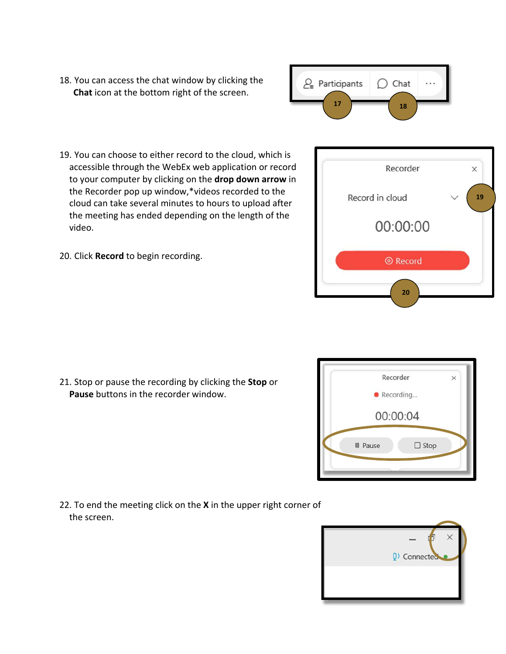- 18. You can access the chat window by clicking the **Chat** icon at the bottom right of the screen.
	- $2\sqrt{2}$  Participants  $\bigcap$  Chat **17 18**
- 19. You can choose to either record to the cloud, which is accessible through the WebEx web application or record to your computer by clicking on the **drop down arrow** in the Recorder pop up window,\*videos recorded to the cloud can take several minutes to hours to upload after the meeting has ended depending on the length of the video.
- 20. Click **Record** to begin recording.

21. Stop or pause the recording by clicking the **Stop** or **Pause** buttons in the recorder window.

22. To end the meeting click on the **X** in the upper right corner of the screen.

Recorder  $\times$ Record in cloud **19** 00:00:00 **O** Record

**20**



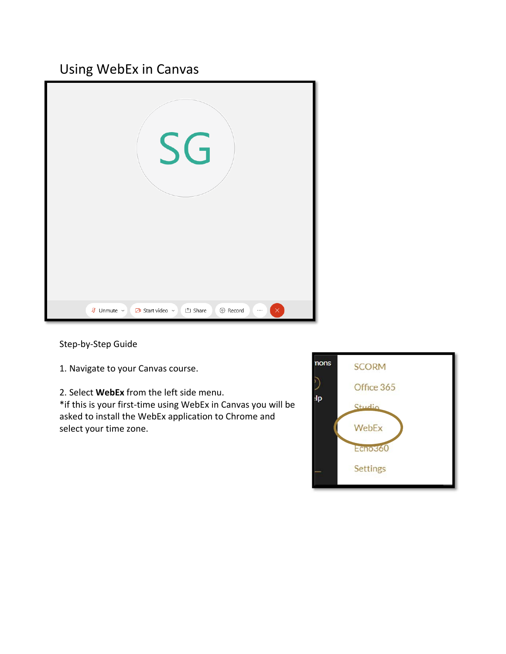## Using WebEx in Canvas



Step‐by‐Step Guide

1. Navigate to your Canvas course.

2. Select **WebEx** from the left side menu.

\*if this is your first‐time using WebEx in Canvas you will be asked to install the WebEx application to Chrome and select your time zone.

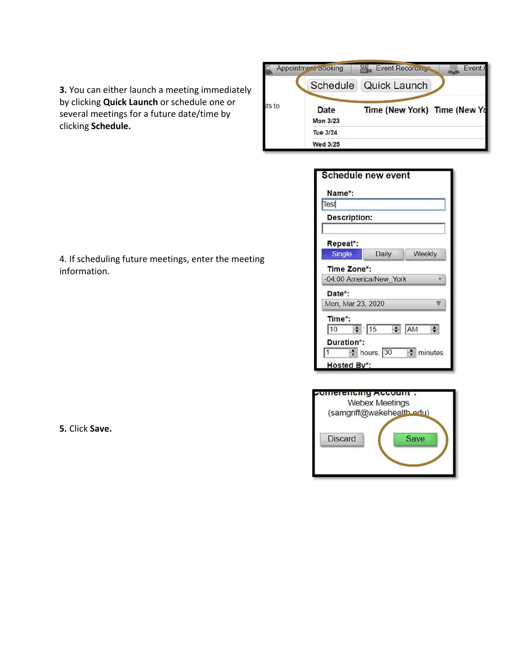

| <b>Schedule new event</b>              |                    |               |
|----------------------------------------|--------------------|---------------|
| Name*:                                 |                    |               |
| Test                                   |                    |               |
| <b>Description:</b>                    |                    |               |
| Repeat*:                               |                    |               |
| <b>Single</b>                          | <b>Daily</b>       | Weekly        |
| Time Zone*:<br>-04:00 America/New_York |                    |               |
| Date*:                                 |                    |               |
| Mon, Mar 23, 2020                      |                    |               |
| Time*:<br> 10<br>Duration*:            | $\frac{1}{2}$ : 15 | $\bigstar$ AM |
| 1<br>Hosted By*:                       | $\div$ hours, 30   | minutes       |



**3.** You can either launch a meeting immediately by clicking **Quick Launch** or schedule one or several meetings for a future date/time by clicking **Schedule.**

4. If scheduling future meetings, enter the meeting information.

**5.** Click **Save.**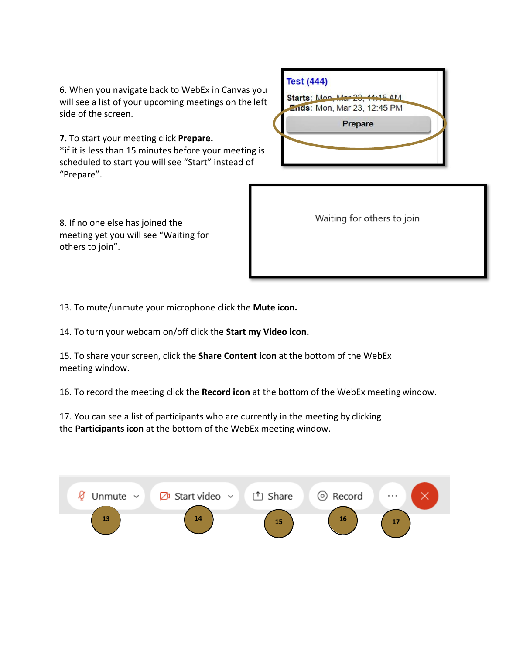6. When you navigate back to WebEx in Canvas you will see a list of your upcoming meetings on the left side of the screen.

**7.** To start your meeting click **Prepare.** \*if it is less than 15 minutes before your meeting is scheduled to start you will see "Start" instead of "Prepare".

| <b>Test (444)</b> |                                                              |  |
|-------------------|--------------------------------------------------------------|--|
|                   | Starts: Mon. Mar 23, 11:15 AM<br>Ends: Mon, Mar 23, 12:45 PM |  |
|                   | Prepare                                                      |  |
|                   |                                                              |  |
|                   |                                                              |  |

8. If no one else has joined the meeting yet you will see "Waiting for others to join".

| Waiting for others to join |  |  |
|----------------------------|--|--|
|                            |  |  |

13. To mute/unmute your microphone click the **Mute icon.**

14. To turn your webcam on/off click the **Start my Video icon.**

15. To share your screen, click the **Share Content icon** at the bottom of the WebEx meeting window.

16. To record the meeting click the **Record icon** at the bottom of the WebEx meeting window.

17. You can see a list of participants who are currently in the meeting by clicking the **Participants icon** at the bottom of the WebEx meeting window.

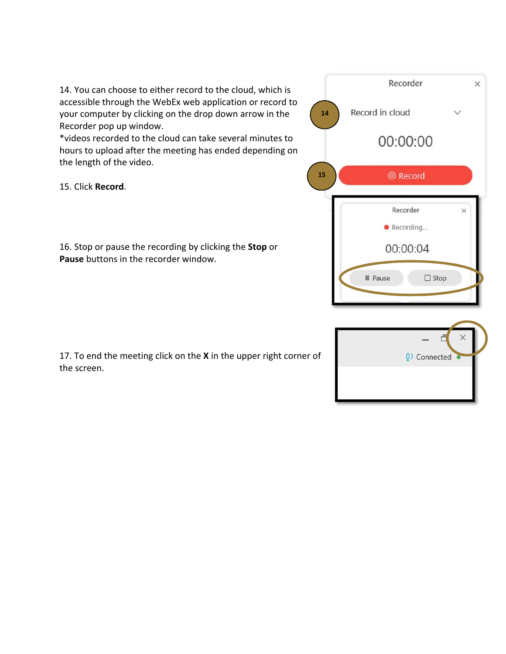14. You can choose to either record to the cloud, which is accessible through the WebEx web application or record to your computer by clicking on the drop down arrow in the Recorder pop up window.

\*videos recorded to the cloud can take several minutes to hours to upload after the meeting has ended depending on the length of the video.

15. Click **Record**.

16. Stop or pause the recording by clicking the **Stop** or **Pause** buttons in the recorder window.

17. To end the meeting click on the **X** in the upper right corner of the screen.



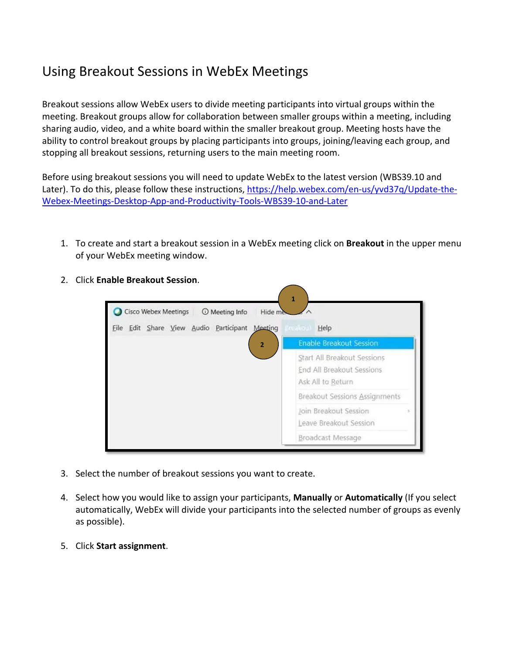# Using Breakout Sessions in WebEx Meetings

Breakout sessions allow WebEx users to divide meeting participants into virtual groups within the meeting. Breakout groups allow for collaboration between smaller groups within a meeting, including sharing audio, video, and a white board within the smaller breakout group. Meeting hosts have the ability to control breakout groups by placing participants into groups, joining/leaving each group, and stopping all breakout sessions, returning users to the main meeting room.

Before using breakout sessions you will need to update WebEx to the latest version (WBS39.10 and Later). To do this, please follow these instructions, [https://help.webex.com/en-us/yvd37q/Update-the-](https://help.webex.com/en-us/yvd37q/Update-the-Webex-Meetings-Desktop-App-and-Productivity-Tools-WBS39-10-and-Later)[Webex-Meetings-Desktop-App-and-Productivity-Tools-WBS39-10-and-Later](https://help.webex.com/en-us/yvd37q/Update-the-Webex-Meetings-Desktop-App-and-Productivity-Tools-WBS39-10-and-Later)

- 1. To create and start a breakout session in a WebEx meeting click on **Breakout** in the upper menu of your WebEx meeting window.
	- **1** Cisco Webex Meetings **O** Meeting Info Hide n Eile Edit Share View Audio Participant Meeting Help **Enable Breakout Session 2**Start All Breakout Sessions End All Breakout Sessions Ask All to Return Breakout Sessions Assignments Join Breakout Session Leave Breakout Session Broadcast Message
- 2. Click **Enable Breakout Session**.

- 3. Select the number of breakout sessions you want to create.
- 4. Select how you would like to assign your participants, **Manually** or **Automatically** (If you select automatically, WebEx will divide your participants into the selected number of groups as evenly as possible).
- 5. Click **Start assignment**.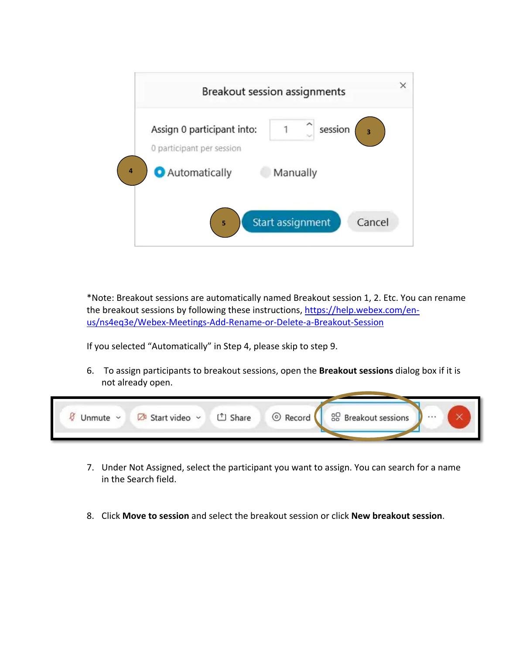

\*Note: Breakout sessions are automatically named Breakout session 1, 2. Etc. You can rename the breakout sessions by following these instructions, [https://help.webex.com/en](https://help.webex.com/en-us/ns4eq3e/Webex-Meetings-Add-Rename-or-Delete-a-Breakout-Session)[us/ns4eq3e/Webex-Meetings-Add-Rename-or-Delete-a-Breakout-Session](https://help.webex.com/en-us/ns4eq3e/Webex-Meetings-Add-Rename-or-Delete-a-Breakout-Session)

If you selected "Automatically" in Step 4, please skip to step 9.

6. To assign participants to breakout sessions, open the **Breakout sessions** dialog box if it is not already open.



- 7. Under Not Assigned, select the participant you want to assign. You can search for a name in the Search field.
- 8. Click **Move to session** and select the breakout session or click **New breakout session**.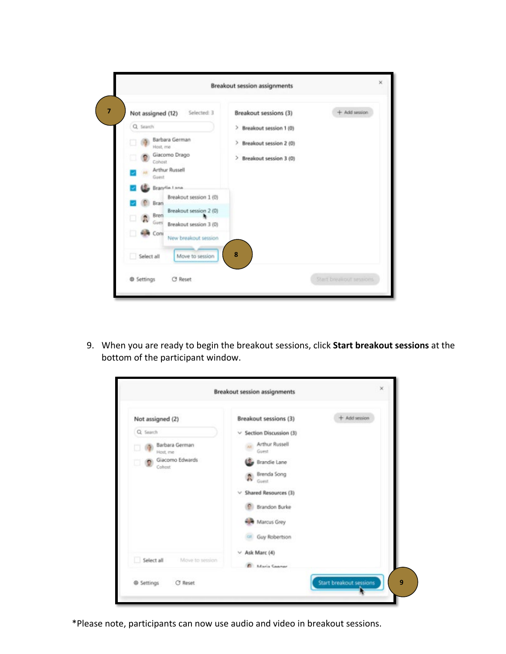

9. When you are ready to begin the breakout sessions, click **Start breakout sessions** at the bottom of the participant window.

|                                                                                               | <b>Breakout session assignments</b>                                                                                                                                                                                                                   |                         |
|-----------------------------------------------------------------------------------------------|-------------------------------------------------------------------------------------------------------------------------------------------------------------------------------------------------------------------------------------------------------|-------------------------|
| Not assigned (2)<br>Q Search<br>Barbara German<br>Host me<br>Giacomo Edwards<br>- 9<br>Cohost | Breakout sessions (3)<br>$\vee$ Section Discussion (3)<br><b>Arthur Russell</b><br>Guest<br>Brandie Lane<br>Brenda Song<br>ä.<br>Guest.<br>$\vee$ Shared Resources (3)<br><b>Brandon Burke</b><br>Marcus Grey<br>Guy Robertson<br>$\vee$ Ask Marc (4) | $+$ Add session         |
| Select all<br>Move to session                                                                 | <b>Maria Conner</b>                                                                                                                                                                                                                                   |                         |
| C Reset<br><b>@ Settings</b>                                                                  |                                                                                                                                                                                                                                                       | Start breakout sessions |

\*Please note, participants can now use audio and video in breakout sessions.